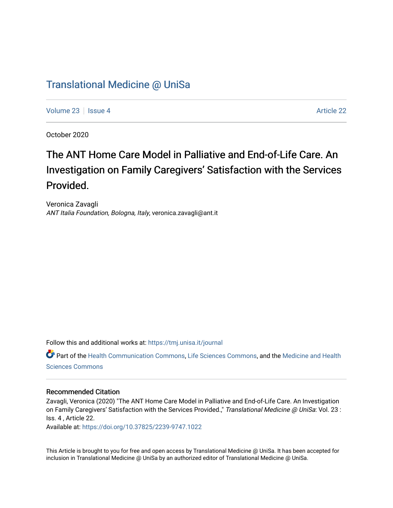# [Translational Medicine @ UniSa](https://tmj.unisa.it/journal)

[Volume 23](https://tmj.unisa.it/journal/vol23) | [Issue 4](https://tmj.unisa.it/journal/vol23/iss4) [Article 22](https://tmj.unisa.it/journal/vol23/iss4/22) | Issue 4 Article 22 | Issue 4 Article 22 | Issue 4 Article 22 | Issue 4 Article 22

October 2020

# The ANT Home Care Model in Palliative and End-of-Life Care. An Investigation on Family Caregivers' Satisfaction with the Services Provided.

Veronica Zavagli ANT Italia Foundation, Bologna, Italy, veronica.zavagli@ant.it

Follow this and additional works at: [https://tmj.unisa.it/journal](https://tmj.unisa.it/journal?utm_source=tmj.unisa.it%2Fjournal%2Fvol23%2Fiss4%2F22&utm_medium=PDF&utm_campaign=PDFCoverPages)

Part of the [Health Communication Commons](http://network.bepress.com/hgg/discipline/330?utm_source=tmj.unisa.it%2Fjournal%2Fvol23%2Fiss4%2F22&utm_medium=PDF&utm_campaign=PDFCoverPages), [Life Sciences Commons](http://network.bepress.com/hgg/discipline/1016?utm_source=tmj.unisa.it%2Fjournal%2Fvol23%2Fiss4%2F22&utm_medium=PDF&utm_campaign=PDFCoverPages), and the [Medicine and Health](http://network.bepress.com/hgg/discipline/648?utm_source=tmj.unisa.it%2Fjournal%2Fvol23%2Fiss4%2F22&utm_medium=PDF&utm_campaign=PDFCoverPages) [Sciences Commons](http://network.bepress.com/hgg/discipline/648?utm_source=tmj.unisa.it%2Fjournal%2Fvol23%2Fiss4%2F22&utm_medium=PDF&utm_campaign=PDFCoverPages) 

## Recommended Citation

Zavagli, Veronica (2020) "The ANT Home Care Model in Palliative and End-of-Life Care. An Investigation on Family Caregivers' Satisfaction with the Services Provided.," Translational Medicine @ UniSa: Vol. 23 : Iss. 4 , Article 22.

Available at:<https://doi.org/10.37825/2239-9747.1022>

This Article is brought to you for free and open access by Translational Medicine @ UniSa. It has been accepted for inclusion in Translational Medicine @ UniSa by an authorized editor of Translational Medicine @ UniSa.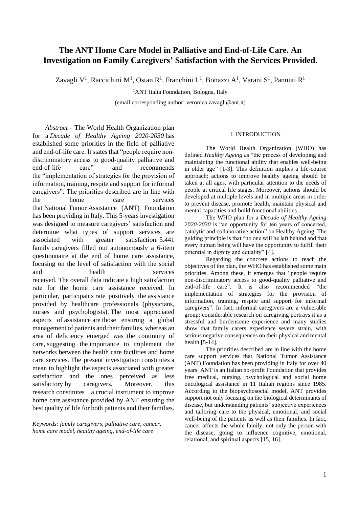# **The ANT Home Care Model in Palliative and End-of-Life Care. An Investigation on Family Caregivers' Satisfaction with the Services Provided.**

Zavagli V<sup>1</sup>, Raccichini M<sup>1</sup>, Ostan R<sup>1</sup>, Franchini L<sup>1</sup>, Bonazzi A<sup>1</sup>, Varani S<sup>1</sup>, Pannuti R<sup>1</sup>

<sup>1</sup>ANT Italia Foundation, Bologna, Italy

(email corresponding author: veronica.zavagli@ant.it)

*Abstract* - The World Health Organization plan for a *Decade of Healthy Ageing 2020-2030* has established some priorities in the field of palliative and end-of-life care. It states that "people require nondiscriminatory access to good-quality palliative and end-of-life care" and recommends the "implementation of strategies for the provision of information, training, respite and support for informal caregivers". The priorities described are in line with the home care services that National Tumor Assistance (ANT) Foundation has been providing in Italy. This 5-years investigation was designed to measure caregivers' satisfaction and determine what types of support services are associated with greater satisfaction. 5.441 family caregivers filled out autonomously a 6-item questionnaire at the end of home care assistance, focusing on the level of satisfaction with the social and health services received. The overall data indicate a high satisfaction rate for the home care assistance received. In particular, participants rate positively the assistance provided by healthcare professionals (physicians, nurses and psychologists). The most appreciated aspects of assistance are those ensuring a global management of patients and their families, whereas an area of deficiency emerged was the continuity of care, suggesting the importance to implement the networks between the health care facilities and home care services. The present investigation constitutes a mean to highlight the aspects associated with greater satisfaction and the ones perceived as less satisfactory by caregivers. Moreover, this research constitutes a crucial instrument to improve home care assistance provided by ANT ensuring the best quality of life for both patients and their families.

*Keywords: family caregivers, palliative care, cancer, home care model, healthy ageing, end-of-life care*

#### I. INTRODUCTION

The World Health Organization (WHO) has defined *Healthy Ageing* as "the process of developing and maintaining the functional ability that enables well-being in older age" [1-3]. This definition implies a life-course approach: actions to improve healthy ageing should be taken at all ages, with particular attention to the needs of people at critical life stages. Moreover, actions should be developed at multiple levels and in multiple areas in order to prevent disease, promote health, maintain physical and mental capacities and build functional abilities.

The WHO plan for a *Decade of Healthy Ageing 2020-2030* is "an opportunity for ten years of concerted, catalytic and collaborative action" on Healthy Ageing. The guiding principle is that "no one will be left behind and that every human being will have the opportunity to fulfill their potential in dignity and equality" [4].

Regarding the concrete actions to reach the objectives of the plan, the WHO has established some main priorities. Among these, it emerges that "people require non-discriminatory access to good-quality palliative and end-of-life care". It is also recommended "the implementation of strategies for the provision of information, training, respite and support for informal caregivers". In fact, informal caregivers are a vulnerable group: considerable research on caregiving portrays it as a stressful and burdensome experience and many studies show that family carers experience severe strain, with serious negative consequences on their physical and mental health [5-14].

The priorities described are in line with the home care support services that National Tumor Assistance (ANT) Foundation has been providing in Italy for over 40 years. ANT is an Italian no-profit Foundation that provides free medical, nursing, psychological and social home oncological assistance in 11 Italian regions since 1985. According to the biopsychosocial model, ANT provides support not only focusing on the biological determinants of disease, but understanding patients' subjective experiences and tailoring care to the physical, emotional, and social well-being of the patients as well as their families. In fact, cancer affects the whole family, not only the person with the disease, going to influence cognitive, emotional, relational, and spiritual aspects [15, 16].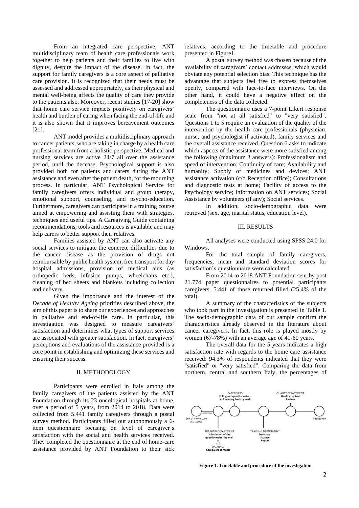From an integrated care perspective, ANT multidisciplinary team of health care professionals work together to help patients and their families to live with dignity, despite the impact of the disease. In fact, the support for family caregivers is a core aspect of palliative care provision. It is recognized that their needs must be assessed and addressed appropriately, as their physical and mental well-being affects the quality of care they provide to the patients also. Moreover, recent studies [17-20] show that home care service impacts positively on caregivers' health and burden of caring when facing the end-of-life and it is also shown that it improves bereavement outcomes [21].

ANT model provides a multidisciplinary approach to cancer patients, who are taking in charge by a health care professional team from a holistic perspective. Medical and nursing services are active 24/7 all over the assistance period, until the decease. Psychological support is also provided both for patients and carers during the ANT assistance and even after the patient death, for the mourning process. In particular, ANT Psychological Service for family caregivers offers individual and group therapy, emotional support, counseling, and psycho-education. Furthermore, caregivers can participate in a training course aimed at empowering and assisting them with strategies, techniques and useful tips. A Caregiving Guide containing recommendations, tools and resources is available and may help carers to better support their relatives.

Families assisted by ANT can also activate any social services to mitigate the concrete difficulties due to the cancer disease as the provision of drugs not reimbursable by public health system, free transport for day hospital admissions, provision of medical aids (as orthopedic beds, infusion pumps, wheelchairs etc.), cleaning of bed sheets and blankets including collection and delivery.

Given the importance and the interest of the *Decade of Healthy Ageing* priorities described above, the aim of this paper is to share our experiences and approaches in palliative and end-of-life care. In particular, this investigation was designed to measure caregivers' satisfaction and determines what types of support services are associated with greater satisfaction. In fact, caregivers' perceptions and evaluations of the assistance provided is a core point in establishing and optimizing these services and ensuring their success.

#### II. METHODOLOGY

Participants were enrolled in Italy among the family caregivers of the patients assisted by the ANT Foundation through its 23 oncological hospitals at home, over a period of 5 years, from 2014 to 2018. Data were collected from 5.441 family caregivers through a postal survey method. Participants filled out autonomously a 6 item questionnaire focusing on level of caregiver's satisfaction with the social and health services received. They completed the questionnaire at the end of home-care assistance provided by ANT Foundation to their sick

relatives, according to the timetable and procedure presented in Figure1.

A postal survey method was chosen because of the availability of caregivers' contact addresses, which would obviate any potential selection bias. This technique has the advantage that subjects feel free to express themselves openly, compared with face-to-face interviews. On the other hand, it could have a negative effect on the completeness of the data collected.

The questionnaire uses a 7-point Likert response scale from "not at all satisfied" to "very satisfied". Questions 1 to 5 require an evaluation of the quality of the intervention by the health care professionals (physician, nurse, and psychologist if activated), family services and the overall assistance received. Question 6 asks to indicate which aspects of the assistance were more satisfied among the following (maximum 3 answers): Professionalism and speed of intervention; Continuity of care; Availability and humanity: Supply of medicines and devices: ANT assistance activation (c/o Reception office); Consultations and diagnostic tests at home; Facility of access to the Psychology service; Information on ANT services; Social Assistance by volunteers (if any); Social services.

In addition, socio-demographic data were retrieved (sex, age, marital status, education level).

#### III. RESULTS

All analyses were conducted using SPSS 24.0 for Windows.

For the total sample of family caregivers, frequencies, mean and standard deviation scores for satisfaction's questionnaire were calculated.

From 2014 to 2018 ANT Foundation sent by post 21.774 paper questionnaires to potential participants caregivers. 5.441 of those returned filled (25.4% of the total).

A summary of the characteristics of the subjects who took part in the investigation is presented in Table 1. The socio-demographic data of our sample confirm the characteristics already observed in the literature about cancer caregivers. In fact, this role is played mostly by women (67-78%) with an average age of 41-60 years.

The overall data for the 5 years indicates a high satisfaction rate with regards to the home care assistance received: 94.3% of respondents indicated that they were "satisfied" or "very satisfied". Comparing the data from northern, central and southern Italy, the percentages of



**Figure 1. Timetable and procedure of the investigation.**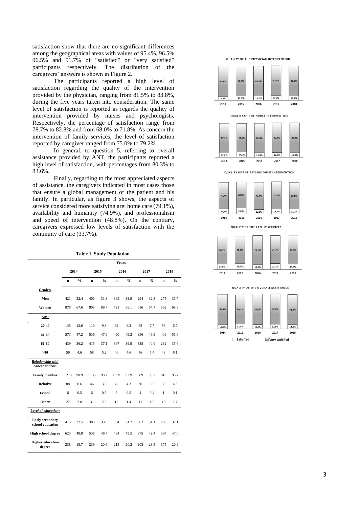satisfaction show that there are no significant differences among the geographical areas with values of 95.4%, 96.5% 96.5% and 91.7% of "satisfied" or "very satisfied" participants respectively. The distribution of the caregivers' answers is shown in Figure 2.

The participants reported a high level of satisfaction regarding the quality of the intervention provided by the physician, ranging from 81.5% to 83.8%, during the five years taken into consideration. The same level of satisfaction is reported as regards the quality of intervention provided by nurses and psychologists. Respectively, the percentage of satisfaction range from 78.7% to 82.8% and from 68.0% to 71.8%. As concern the intervention of family services, the level of satisfaction reported by caregiver ranged from 75.0% to 79.2%.

In general, to question 5, referring to overall assistance provided by ANT, the participants reported a high level of satisfaction, with percentages from 80.3% to 83.6%.

Finally, regarding to the most appreciated aspects of assistance, the caregivers indicated in most cases those that ensure a global management of the patient and his family. In particular, as figure 3 shows, the aspects of service considered more satisfying are: home care (79.1%), availability and humanity (74.9%), and professionalism and speed of intervention (48.8%). On the contrary, caregivers expressed low levels of satisfaction with the continuity of care (33.7%).

| <b>Table 1. Study Population.</b> |  |  |  |
|-----------------------------------|--|--|--|
|-----------------------------------|--|--|--|

|                                             | Years       |               |             |               |             |               |                |               |              |               |  |
|---------------------------------------------|-------------|---------------|-------------|---------------|-------------|---------------|----------------|---------------|--------------|---------------|--|
|                                             | 2014        |               | 2015        |               | 2016        |               | 2017           |               | 2018         |               |  |
|                                             | $\mathbf n$ | $\frac{0}{0}$ | $\mathbf n$ | $\frac{0}{0}$ | $\mathbf n$ | $\frac{0}{0}$ | $\mathbf n$    | $\frac{0}{0}$ | $\mathbf n$  | $\frac{0}{0}$ |  |
| Gender:                                     |             |               |             |               |             |               |                |               |              |               |  |
| Men                                         | 421         | 32.4          | 401         | 33.3          | 369         | 33.9          | 294            | 32.3          | 275          | 31.7          |  |
| Women                                       | 878         | 67.6          | 803         | 66.7          | 721         | 66.1          | 616            | 67.7          | 592          | 68.3          |  |
| Age:                                        |             |               |             |               |             |               |                |               |              |               |  |
| 20-40                                       | 145         | 12.0          | 110         | 9.8           | 62          | 6.2           | 65             | 7.7           | 53           | 6.7           |  |
| 41-60                                       | 573         | 47.2          | 536         | 47.9          | 490         | 49.2          | 396            | 46.9          | 409          | 51.6          |  |
| 61-80                                       | 439         | 36.2          | 415         | 37.1          | 397         | 39.9          | 338            | 40.0          | 282          | 35.6          |  |
| >80                                         | 56          | 4.6           | 58          | 5.2           | 46          | 4.6           | 46             | 5.4           | 48           | 6.1           |  |
| <b>Relationship with</b><br>cancer patient: |             |               |             |               |             |               |                |               |              |               |  |
| <b>Family member</b>                        | 1210        | 90.9          | 1135        | 93.2          | 1039        | 93.9          | 889            | 95.2          | 818          | 93.7          |  |
| <b>Relative</b>                             | 88          | 6.6           | 46          | 3.8           | 48          | 4.3           | 30             | 3.2           | 39           | 4.5           |  |
| Friend                                      | 6           | 0.5           | 6           | 0.5           | 5           | 0.5           | $\overline{4}$ | 0.4           | $\mathbf{1}$ | 0.1           |  |
| Other                                       | 27          | 2.0           | 31          | 2.5           | 15          | 1.4           | 11             | 1.2           | 15           | 1.7           |  |
| Level of education:                         |             |               |             |               |             |               |                |               |              |               |  |
| Early secondary<br>school education         | 415         | 32.5          | 383         | 33.0          | 364         | 34.2          | 302            | 34.1          | 269          | 32.1          |  |
| <b>High school degree</b>                   | 623         | 48.8          | 538         | 46.4          | 484         | 45.5          | 375            | 42.4          | 394          | 47.0          |  |
| <b>Higher education</b><br>degree           | 238         | 18.7          | 239         | 20.6          | 215         | 20.2          | 208            | 23.5          | 175          | 20.9          |  |

**QUALITY OF THE PHYSICIAN INTERVENTION** 

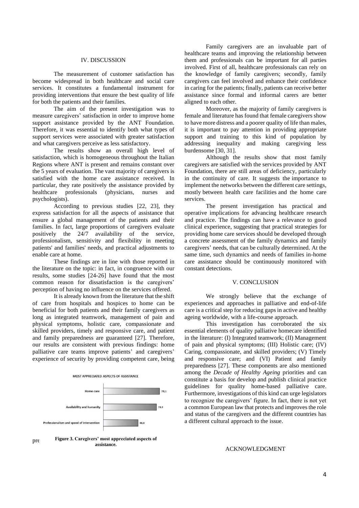#### IV. DISCUSSION

The measurement of customer satisfaction has become widespread in both healthcare and social care services. It constitutes a fundamental instrument for providing interventions that ensure the best quality of life for both the patients and their families.

The aim of the present investigation was to measure caregivers' satisfaction in order to improve home support assistance provided by the ANT Foundation. Therefore, it was essential to identify both what types of support services were associated with greater satisfaction and what caregivers perceive as less satisfactory.

The results show an overall high level of satisfaction, which is homogeneous throughout the Italian Regions where ANT is present and remains constant over the 5 years of evaluation. The vast majority of caregivers is satisfied with the home care assistance received. In particular, they rate positively the assistance provided by healthcare professionals (physicians, nurses and psychologists).

According to previous studies [22, 23], they express satisfaction for all the aspects of assistance that ensure a global management of the patients and their families. In fact, large proportions of caregivers evaluate positively the 24/7 availability of the service, professionalism, sensitivity and flexibility in meeting patients' and families' needs, and practical adjustments to enable care at home.

These findings are in line with those reported in the literature on the topic: in fact, in congruence with our results, some studies [24-26] have found that the most common reason for dissatisfaction is the caregivers' perception of having no influence on the services offered.

It is already known from the literature that the shift of care from hospitals and hospices to home can be beneficial for both patients and their family caregivers as long as integrated teamwork, management of pain and physical symptoms, holistic care, compassionate and skilled providers, timely and responsive care, and patient and family preparedness are guaranteed [27]. Therefore, our results are consistent with previous findings: home palliative care teams improve patients' and caregivers' experience of security by providing competent care, being



pre**sume 3. Caregivers' most appreciated aspects of assistance.**

Family caregivers are an invaluable part of healthcare teams and improving the relationship between them and professionals can be important for all parties involved. First of all, healthcare professionals can rely on the knowledge of family caregivers; secondly, family caregivers can feel involved and enhance their confidence in caring for the patients; finally, patients can receive better assistance since formal and informal carers are better aligned to each other.

Moreover, as the majority of family caregivers is female and literature has found that female caregivers show to have more distress and a poorer quality of life than males, it is important to pay attention in providing appropriate support and training to this kind of population by addressing inequality and making caregiving less burdensome [30, 31].

Although the results show that most family caregivers are satisfied with the services provided by ANT Foundation, there are still areas of deficiency, particularly in the continuity of care. It suggests the importance to implement the networks between the different care settings, mostly between health care facilities and the home care services.

The present investigation has practical and operative implications for advancing healthcare research and practice. The findings can have a relevance to good clinical experience, suggesting that practical strategies for providing home care services should be developed through a concrete assessment of the family dynamics and family caregivers' needs, that can be culturally determined. At the same time, such dynamics and needs of families in-home care assistance should be continuously monitored with constant detections.

### V. CONCLUSION

We strongly believe that the exchange of experiences and approaches in palliative and end-of-life care is a critical step for reducing gaps in active and healthy ageing worldwide, with a life-course approach.

This investigation has corroborated the six essential elements of quality palliative homecare identified in the literature: (I) Integrated teamwork; (II) Management of pain and physical symptoms; (III) Holistic care; (IV) Caring, compassionate, and skilled providers; (V) Timely and responsive care; and (VI) Patient and family preparedness [27]. These components are also mentioned among the *Decade of Healthy Ageing* priorities and can constitute a basis for develop and publish clinical practice guidelines for quality home-based palliative care. Furthermore, investigations of this kind can urge legislators to recognize the caregivers' figure. In fact, there is not yet a common European law that protects and improves the role and status of the caregivers and the different countries has a different cultural approach to the issue.

## ACKNOWLEDGMENT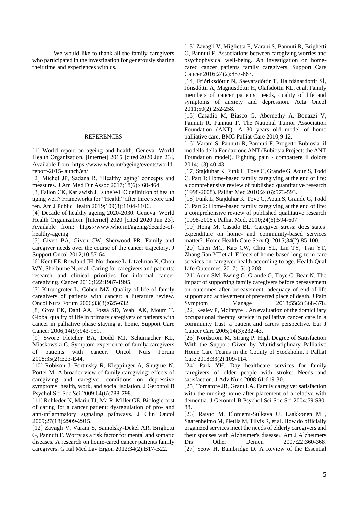We would like to thank all the family caregivers who participated in the investigation for generously sharing their time and experiences with us.

#### **REFERENCES**

[1] World report on ageing and health. Geneva: World Health Organization. [Internet] 2015 [cited 2020 Jun 23]. Available from: https://www.who.int/ageing/events/worldreport-2015-launch/en/

[2] Michel JP, Sadana R. 'Healthy aging' concepts and measures. J Am Med Dir Assoc 2017;18(6):460-464.

[3] Fallon CK, Karlawish J. Is the WHO definition of health aging well? Frameworks for "Health" after three score and ten. Am J Public Health 2019;109(8):1104-1106.

[4] Decade of healthy ageing 2020-2030. Geneva: World Health Organization. [Internet] 2020 [cited 2020 Jun 23]. Available from: https://www.who.int/ageing/decade-ofhealthy-ageing

[5] Given BA, Given CW, Sherwood PR. Family and caregiver needs over the course of the cancer trajectory. J Support Oncol 2012;10:57-64.

[6] Kent EE, Rowland JH, Northouse L, Litzelman K, Chou WY, Shelburne N, et al. Caring for caregivers and patients: research and clinical priorities for informal cancer caregiving. Cancer 2016;122:1987-1995.

[7] Kitrungroter L, Cohen MZ. Quality of life of family caregivers of patients with cancer: a literature review. Oncol Nurs Forum 2006;33(3):625-632.

[8] Grov EK, Dahl AA, Fosså SD, Wahl AK, Moum T. Global quality of life in primary caregivers of patients with cancer in palliative phase staying at home. Support Care Cancer 2006;14(9):943-951.

[9] Swore Fletcher BA, Dodd MJ, Schumacher KL, Miaskowski C. Symptom experience of family caregivers of patients with cancer. Oncol Nurs Forum 2008;35(2):E23-E44.

[10] Robison J, Fortinsky R, Kleppinger A, Shugrue N, Porter M. A broader view of family caregiving: effects of caregiving and caregiver conditions on depressive symptoms, health, work, and social isolation. J Gerontol B Psychol Sci Soc Sci 2009;64(6):788-798.

[11] Rohleder N, Marin TJ, Ma R, Miller GE. Biologic cost of caring for a cancer patient: dysregulation of pro- and anti-inflammatory signaling pathways. J Clin Oncol 2009;27(18):2909-2915.

[12] Zavagli V, Varani S, Samolsky-Dekel AR, Brighetti G, Pannuti F. Worry as a risk factor for mental and somatic diseases. A research on home-cared cancer patients family caregivers. G Ital Med Lav Ergon 2012;34(2):B17-B22.

[13] Zavagli V, Miglietta E, Varani S, Pannuti R, Brighetti G, Pannuti F. Associations between caregiving worries and psychophysical well-being. An investigation on homecared cancer patients family caregivers. Support Care Cancer 2016;24(2):857-863.

[14] Friðriksdóttir N, Saevarsdóttir T, Halfdánardóttir SÍ, Jónsdóttir A, Magnúsdóttir H, Olafsdóttir KL, et al. Family members of cancer patients: needs, quality of life and symptoms of anxiety and depression. Acta Oncol 2011;50(2):252-258.

[15] Casadio M, Biasco G, Abernethy A, Bonazzi V, Pannuti R, Pannuti F. The National Tumor Association Foundation (ANT): A 30 years old model of home palliative care. BMC Palliat Care 2010;9:12.

[16] Varani S, Pannuti R, Pannuti F. Progetto Eubiosia: il modello della Fondazione ANT (Eubiosia Project: the ANT Foundation model). Fighting pain - combattere il dolore 2014;1(3):40-43.

[17] Stajduhar K, Funk L, Toye C, Grande G, Aoun S, Todd C. Part 1: Home-based family caregiving at the end of life: a comprehensive review of published quantitative research (1998-2008). Palliat Med 2010;24(6):573-593.

[18] Funk L, Stajduhar K, Toye C, Aoun S, Grande G, Todd C. Part 2: Home-based family caregiving at the end of life: a comprehensive review of published qualitative research (1998-2008). Palliat Med. 2010;24(6):594-607.

[19] Hong M, Casado BL. Caregiver stress: does states' expenditure on home- and community-based services matter?. Home Health Care Serv Q. 2015;34(2):85-100.

[20] Chen MC, Kao CW, Chiu YL, Lin TY, Tsai YT, Zhang Jian YT et al. Effects of home-based long-term care services on caregiver health according to age. Health Qual Life Outcomes. 2017;15(1):208.

[21] Aoun SM, Ewing G, Grande G, Toye C, Bear N. The impact of supporting family caregivers before bereavement on outcomes after bereavement: adequacy of end-of-life support and achievement of preferred place of death. J Pain Symptom Manage 2018;55(2):368-378.

[22] Kealey P, McIntyre I. An evaluation of the domiciliary occupational therapy service in palliative cancer care in a community trust: a patient and carers perspective. Eur J Cancer Care 2005;14(3):232-43.

[23] Nordström M, Strang P. High Degree of Satisfaction With the Support Given by Multidisciplinary Palliative Home Care Teams in the County of Stockholm. J Palliat Care 2018;33(2):109-114.

[24] Park YH. Day healthcare services for family caregivers of older people with stroke: Needs and satisfaction. J Adv Nurs 2008;61:619-30.

[25] Tornatore JB, Grant LA. Family caregiver satisfaction with the nursing home after placement of a relative with dementia. J Gerontol B Psychol Sci Soc Sci 2004;59:S80- 88.

[26] Raivio M, Eloniemi-Sulkava U, Laakkonen ML, Saarenheimo M, Pietila M, Tilvis R, et al. How do officially organized services meet the needs of elderly caregivers and their spouses with Alzheimer's disease? Am J Alzheimers Dis Other Demen 2007;22:360-368. [27] Seow H, Bainbridge D. A Review of the Essential